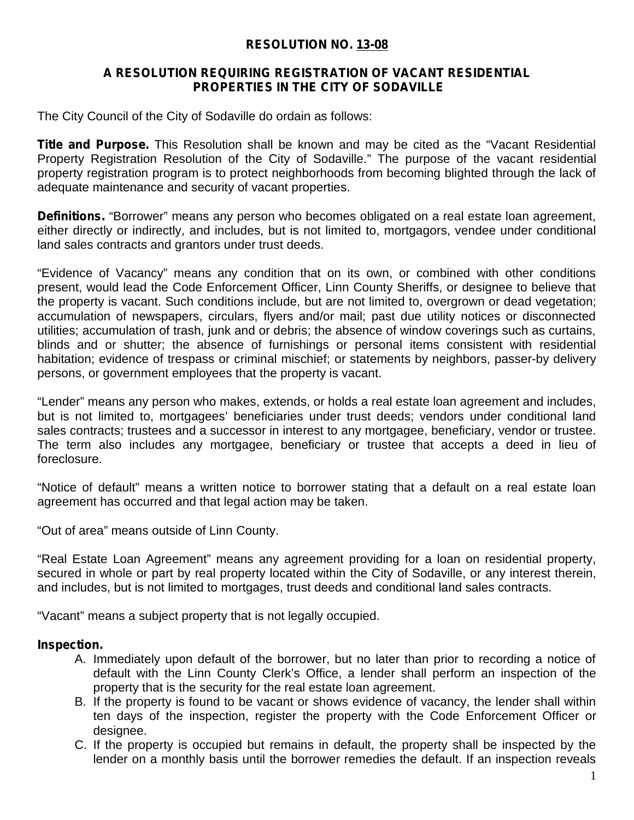# **RESOLUTION NO. 13-08**

### **A RESOLUTION REQUIRING REGISTRATION OF VACANT RESIDENTIAL PROPERTIES IN THE CITY OF SODAVILLE**

The City Council of the City of Sodaville do ordain as follows:

**Title and Purpose.** This Resolution shall be known and may be cited as the "Vacant Residential Property Registration Resolution of the City of Sodaville." The purpose of the vacant residential property registration program is to protect neighborhoods from becoming blighted through the lack of adequate maintenance and security of vacant properties.

**Definitions.** "Borrower" means any person who becomes obligated on a real estate loan agreement, either directly or indirectly, and includes, but is not limited to, mortgagors, vendee under conditional land sales contracts and grantors under trust deeds.

"Evidence of Vacancy" means any condition that on its own, or combined with other conditions present, would lead the Code Enforcement Officer, Linn County Sheriffs, or designee to believe that the property is vacant. Such conditions include, but are not limited to, overgrown or dead vegetation; accumulation of newspapers, circulars, flyers and/or mail; past due utility notices or disconnected utilities; accumulation of trash, junk and or debris; the absence of window coverings such as curtains, blinds and or shutter; the absence of furnishings or personal items consistent with residential habitation; evidence of trespass or criminal mischief; or statements by neighbors, passer-by delivery persons, or government employees that the property is vacant.

"Lender" means any person who makes, extends, or holds a real estate loan agreement and includes, but is not limited to, mortgagees' beneficiaries under trust deeds; vendors under conditional land sales contracts; trustees and a successor in interest to any mortgagee, beneficiary, vendor or trustee. The term also includes any mortgagee, beneficiary or trustee that accepts a deed in lieu of foreclosure.

"Notice of default" means a written notice to borrower stating that a default on a real estate loan agreement has occurred and that legal action may be taken.

"Out of area" means outside of Linn County.

"Real Estate Loan Agreement" means any agreement providing for a loan on residential property, secured in whole or part by real property located within the City of Sodaville, or any interest therein, and includes, but is not limited to mortgages, trust deeds and conditional land sales contracts.

"Vacant" means a subject property that is not legally occupied.

### **Inspection.**

- A. Immediately upon default of the borrower, but no later than prior to recording a notice of default with the Linn County Clerk's Office, a lender shall perform an inspection of the property that is the security for the real estate loan agreement.
- B. If the property is found to be vacant or shows evidence of vacancy, the lender shall within ten days of the inspection, register the property with the Code Enforcement Officer or designee.
- C. If the property is occupied but remains in default, the property shall be inspected by the lender on a monthly basis until the borrower remedies the default. If an inspection reveals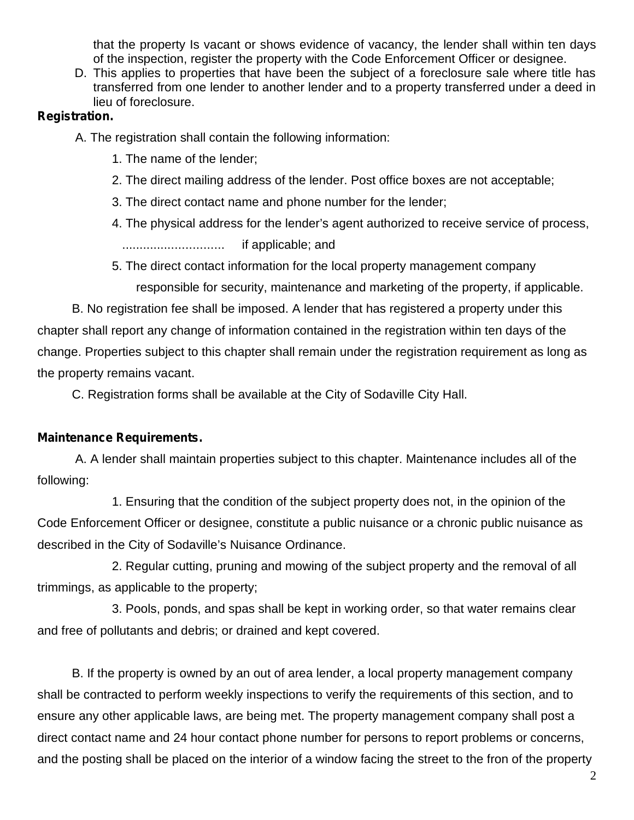that the property Is vacant or shows evidence of vacancy, the lender shall within ten days of the inspection, register the property with the Code Enforcement Officer or designee.

D. This applies to properties that have been the subject of a foreclosure sale where title has transferred from one lender to another lender and to a property transferred under a deed in lieu of foreclosure.

# **Registration.**

A. The registration shall contain the following information:

- 1. The name of the lender;
- 2. The direct mailing address of the lender. Post office boxes are not acceptable;
- 3. The direct contact name and phone number for the lender;
- 4. The physical address for the lender's agent authorized to receive service of process,

............................. if applicable; and

5. The direct contact information for the local property management company

responsible for security, maintenance and marketing of the property, if applicable.

B. No registration fee shall be imposed. A lender that has registered a property under this chapter shall report any change of information contained in the registration within ten days of the change. Properties subject to this chapter shall remain under the registration requirement as long as the property remains vacant.

C. Registration forms shall be available at the City of Sodaville City Hall.

# **Maintenance Requirements.**

A. A lender shall maintain properties subject to this chapter. Maintenance includes all of the following:

1. Ensuring that the condition of the subject property does not, in the opinion of the Code Enforcement Officer or designee, constitute a public nuisance or a chronic public nuisance as described in the City of Sodaville's Nuisance Ordinance.

2. Regular cutting, pruning and mowing of the subject property and the removal of all trimmings, as applicable to the property;

3. Pools, ponds, and spas shall be kept in working order, so that water remains clear and free of pollutants and debris; or drained and kept covered.

B. If the property is owned by an out of area lender, a local property management company shall be contracted to perform weekly inspections to verify the requirements of this section, and to ensure any other applicable laws, are being met. The property management company shall post a direct contact name and 24 hour contact phone number for persons to report problems or concerns, and the posting shall be placed on the interior of a window facing the street to the fron of the property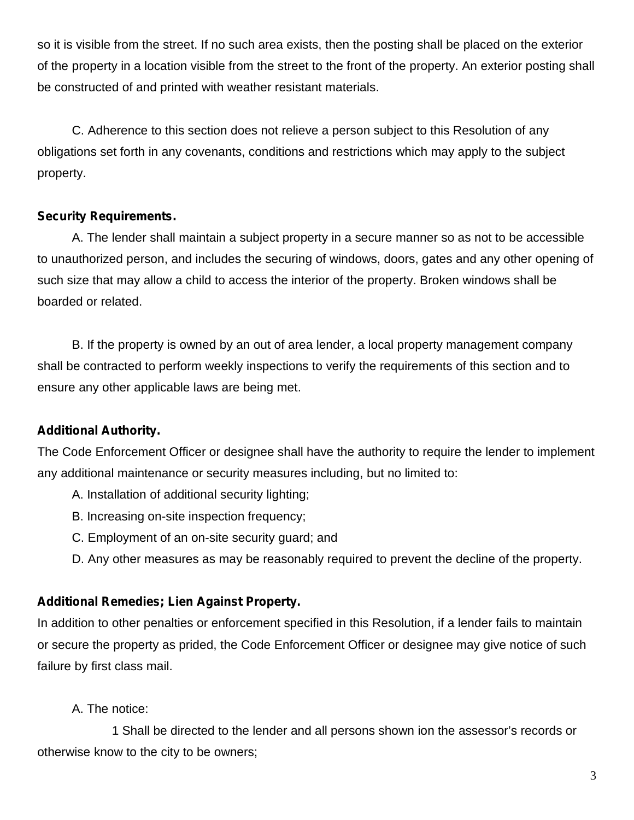so it is visible from the street. If no such area exists, then the posting shall be placed on the exterior of the property in a location visible from the street to the front of the property. An exterior posting shall be constructed of and printed with weather resistant materials.

C. Adherence to this section does not relieve a person subject to this Resolution of any obligations setforth in any covenants, conditions and restrictions which may apply to the subject property.

# **Security Requirements.**

A. The lender shall maintain a subject property in a secure manner so as not to be accessible to unauthorized person, and includes the securing of windows, doors, gates and any other opening of such size that may allow a child to access the interior of the property. Broken windows shall be boarded or related.

B. If the property is owned by an out of area lender, a local property management company shall be contracted to perform weekly inspections to verify the requirements of this section and to ensure any other applicable laws are being met.

### **Additional Authority.**

The Code Enforcement Officer or designee shall have the authority to require the lender to implement any additional maintenance or security measures including, but no limited to:

- A. Installation of additional security lighting;
- B. Increasing on-site inspection frequency;
- C. Employment of an on-site security guard; and
- D. Any other measures as may be reasonably required to prevent the decline of the property.

### **Additional Remedies; Lien Against Property.**

In addition to other penalties or enforcement specified in this Resolution, if a lender fails to maintain or secure the property as prided, the Code Enforcement Officer or designee may give notice of such failure by first class mail.

#### A. The notice:

1 Shall be directed to the lender and all persons shown ion the assessor's records or otherwise know to the city to be owners;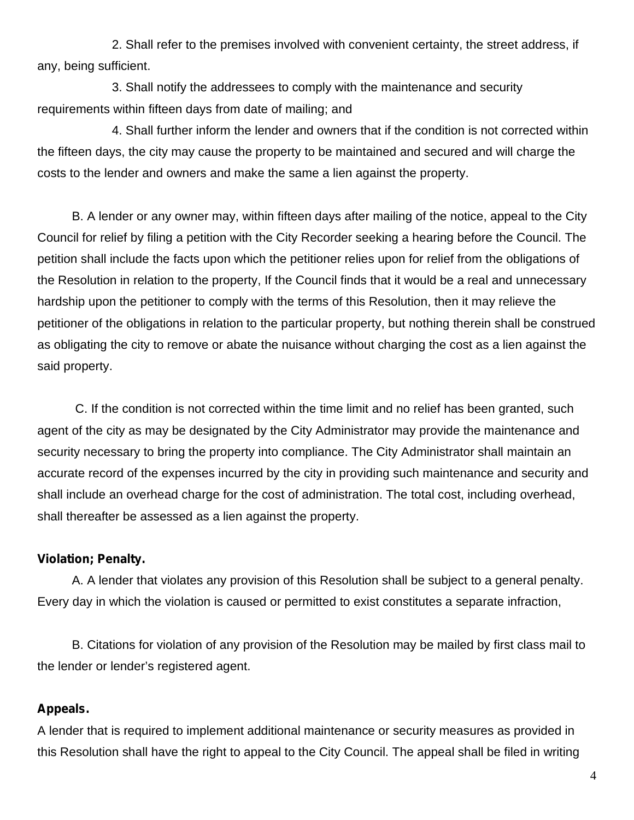2. Shall refer to the premises involved with convenient certainty, the street address, if any, being sufficient.

3. Shall notify the addressees to comply with the maintenance and security requirements within fifteen days from date of mailing; and

4. Shall further inform the lender and owners that if the condition is not corrected within the fifteen days, the city may cause the property to be maintained and secured and will charge the costs to the lender and owners and make the same a lien against the property.

B. A lender or any owner may, within fifteen days after mailing of the notice, appeal to the City Council for relief by filing a petition with the City Recorder seeking a hearing before the Council. The petition shall include the facts upon which the petitioner relies upon for relief from the obligations of the Resolution in relation to the property, If the Council finds that it would be a real and unnecessary hardship upon the petitioner to comply with the terms of this Resolution, then it may relieve the petitioner of the obligations in relation to the particular property, but nothing therein shall be construed as obligating the city to remove or abate the nuisance without charging the cost as a lien against the said property.

C. If the condition is not corrected within the time limit and no relief has been granted, such agent of the city as may be designated by the City Administrator may provide the maintenance and security necessary to bring the property into compliance. The City Administrator shall maintain an accurate record of the expenses incurred by the city in providing such maintenance and security and shall include an overhead charge for the cost of administration. The total cost, including overhead, shall thereafter be assessed as a lien against the property.

#### **Violation; Penalty.**

A. A lender that violates any provision of this Resolution shall be subject to a general penalty. Every day in which the violation is caused or permitted to exist constitutes a separate infraction,

B. Citations for violation of any provision of the Resolution may be mailed by first class mail to the lender or lender's registered agent.

#### **Appeals.**

A lender that is required to implement additional maintenance or security measures as provided in this Resolution shall have the right to appeal to the City Council. The appeal shall be filed in writing